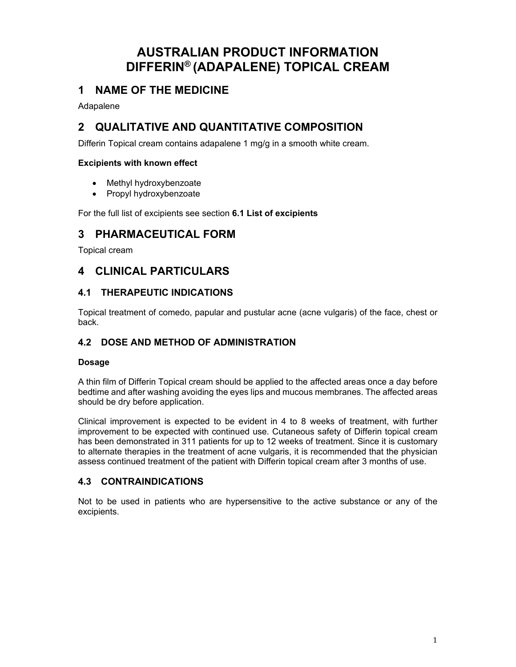# **AUSTRALIAN PRODUCT INFORMATION DIFFERIN® (ADAPALENE) TOPICAL CREAM**

# **1 NAME OF THE MEDICINE**

Adapalene

# **2 QUALITATIVE AND QUANTITATIVE COMPOSITION**

Differin Topical cream contains adapalene 1 mg/g in a smooth white cream.

### **Excipients with known effect**

- Methyl hydroxybenzoate
- Propyl hydroxybenzoate

For the full list of excipients see section **6.1 List of excipients**

# **3 PHARMACEUTICAL FORM**

Topical cream

# **4 CLINICAL PARTICULARS**

## **4.1 THERAPEUTIC INDICATIONS**

Topical treatment of comedo, papular and pustular acne (acne vulgaris) of the face, chest or back.

# **4.2 DOSE AND METHOD OF ADMINISTRATION**

### **Dosage**

A thin film of Differin Topical cream should be applied to the affected areas once a day before bedtime and after washing avoiding the eyes lips and mucous membranes. The affected areas should be dry before application.

Clinical improvement is expected to be evident in 4 to 8 weeks of treatment, with further improvement to be expected with continued use. Cutaneous safety of Differin topical cream has been demonstrated in 311 patients for up to 12 weeks of treatment. Since it is customary to alternate therapies in the treatment of acne vulgaris, it is recommended that the physician assess continued treatment of the patient with Differin topical cream after 3 months of use.

# **4.3 CONTRAINDICATIONS**

Not to be used in patients who are hypersensitive to the active substance or any of the excipients.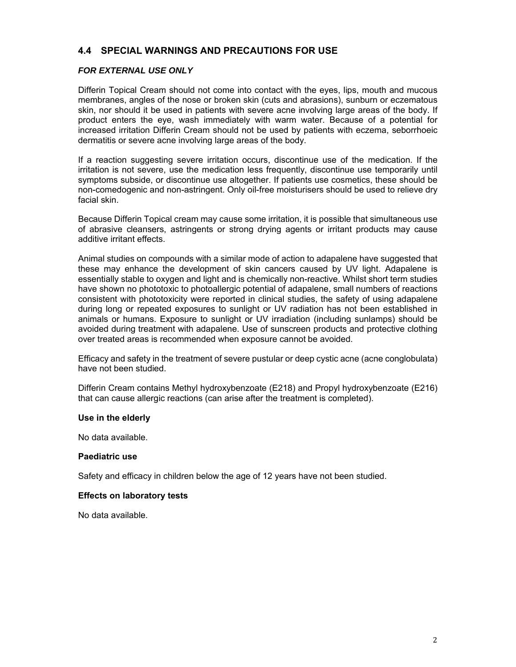## **4.4 SPECIAL WARNINGS AND PRECAUTIONS FOR USE**

### *FOR EXTERNAL USE ONLY*

Differin Topical Cream should not come into contact with the eyes, lips, mouth and mucous membranes, angles of the nose or broken skin (cuts and abrasions), sunburn or eczematous skin, nor should it be used in patients with severe acne involving large areas of the body. If product enters the eye, wash immediately with warm water. Because of a potential for increased irritation Differin Cream should not be used by patients with eczema, seborrhoeic dermatitis or severe acne involving large areas of the body.

If a reaction suggesting severe irritation occurs, discontinue use of the medication. If the irritation is not severe, use the medication less frequently, discontinue use temporarily until symptoms subside, or discontinue use altogether. If patients use cosmetics, these should be non-comedogenic and non-astringent. Only oil-free moisturisers should be used to relieve dry facial skin.

Because Differin Topical cream may cause some irritation, it is possible that simultaneous use of abrasive cleansers, astringents or strong drying agents or irritant products may cause additive irritant effects.

Animal studies on compounds with a similar mode of action to adapalene have suggested that these may enhance the development of skin cancers caused by UV light. Adapalene is essentially stable to oxygen and light and is chemically non-reactive. Whilst short term studies have shown no phototoxic to photoallergic potential of adapalene, small numbers of reactions consistent with phototoxicity were reported in clinical studies, the safety of using adapalene during long or repeated exposures to sunlight or UV radiation has not been established in animals or humans. Exposure to sunlight or UV irradiation (including sunlamps) should be avoided during treatment with adapalene. Use of sunscreen products and protective clothing over treated areas is recommended when exposure cannot be avoided.

Efficacy and safety in the treatment of severe pustular or deep cystic acne (acne conglobulata) have not been studied.

Differin Cream contains Methyl hydroxybenzoate (E218) and Propyl hydroxybenzoate (E216) that can cause allergic reactions (can arise after the treatment is completed).

#### **Use in the elderly**

No data available.

#### **Paediatric use**

Safety and efficacy in children below the age of 12 years have not been studied.

### **Effects on laboratory tests**

No data available.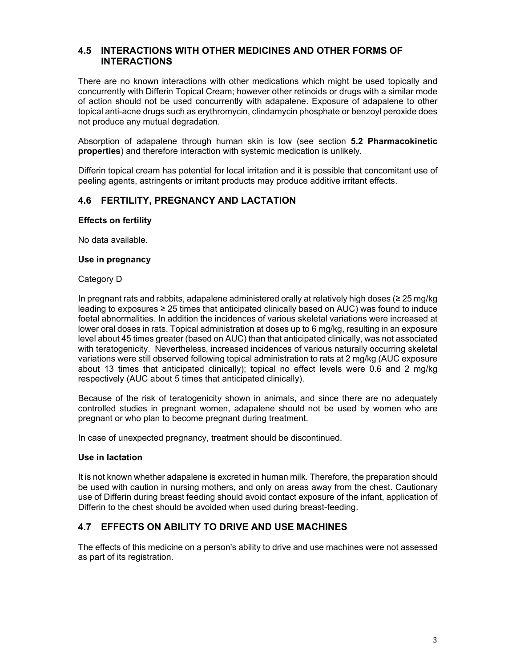## **4.5 INTERACTIONS WITH OTHER MEDICINES AND OTHER FORMS OF INTERACTIONS**

There are no known interactions with other medications which might be used topically and concurrently with Differin Topical Cream; however other retinoids or drugs with a similar mode of action should not be used concurrently with adapalene. Exposure of adapalene to other topical anti-acne drugs such as erythromycin, clindamycin phosphate or benzoyl peroxide does not produce any mutual degradation.

Absorption of adapalene through human skin is low (see section **5.2 Pharmacokinetic properties**) and therefore interaction with systemic medication is unlikely.

Differin topical cream has potential for local irritation and it is possible that concomitant use of peeling agents, astringents or irritant products may produce additive irritant effects.

### **4.6 FERTILITY, PREGNANCY AND LACTATION**

#### **Effects on fertility**

No data available.

#### **Use in pregnancy**

#### Category D

In pregnant rats and rabbits, adapalene administered orally at relatively high doses (≥ 25 mg/kg leading to exposures ≥ 25 times that anticipated clinically based on AUC) was found to induce foetal abnormalities. In addition the incidences of various skeletal variations were increased at lower oral doses in rats. Topical administration at doses up to 6 mg/kg, resulting in an exposure level about 45 times greater (based on AUC) than that anticipated clinically, was not associated with teratogenicity. Nevertheless, increased incidences of various naturally occurring skeletal variations were still observed following topical administration to rats at 2 mg/kg (AUC exposure about 13 times that anticipated clinically); topical no effect levels were 0.6 and 2 mg/kg respectively (AUC about 5 times that anticipated clinically).

Because of the risk of teratogenicity shown in animals, and since there are no adequately controlled studies in pregnant women, adapalene should not be used by women who are pregnant or who plan to become pregnant during treatment.

In case of unexpected pregnancy, treatment should be discontinued.

#### **Use in lactation**

It is not known whether adapalene is excreted in human milk. Therefore, the preparation should be used with caution in nursing mothers, and only on areas away from the chest. Cautionary use of Differin during breast feeding should avoid contact exposure of the infant, application of Differin to the chest should be avoided when used during breast-feeding.

### **4.7 EFFECTS ON ABILITY TO DRIVE AND USE MACHINES**

The effects of this medicine on a person's ability to drive and use machines were not assessed as part of its registration.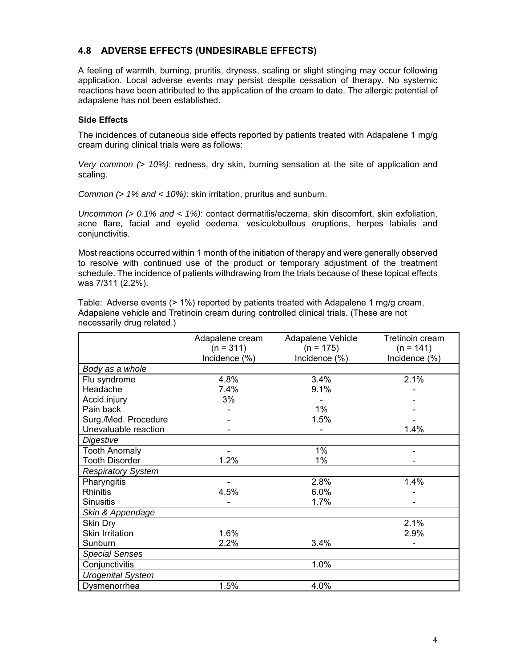# **4.8 ADVERSE EFFECTS (UNDESIRABLE EFFECTS)**

A feeling of warmth, burning, pruritis, dryness, scaling or slight stinging may occur following application. Local adverse events may persist despite cessation of therapy**.** No systemic reactions have been attributed to the application of the cream to date. The allergic potential of adapalene has not been established.

### **Side Effects**

The incidences of cutaneous side effects reported by patients treated with Adapalene 1 mg/g cream during clinical trials were as follows:

*Very common (> 10%)*: redness, dry skin, burning sensation at the site of application and scaling.

*Common (> 1% and < 10%)*: skin irritation, pruritus and sunburn.

*Uncommon (> 0.1% and < 1%)*: contact dermatitis/eczema, skin discomfort, skin exfoliation, acne flare, facial and eyelid oedema, vesiculobullous eruptions, herpes labialis and conjunctivitis.

Most reactions occurred within 1 month of the initiation of therapy and were generally observed to resolve with continued use of the product or temporary adjustment of the treatment schedule. The incidence of patients withdrawing from the trials because of these topical effects was 7/311 (2.2%).

|                           | Adapalene cream | Adapalene Vehicle | Tretinoin cream |
|---------------------------|-----------------|-------------------|-----------------|
|                           | $(n = 311)$     | $(n = 175)$       | $(n = 141)$     |
|                           | Incidence (%)   | Incidence (%)     | Incidence (%)   |
| Body as a whole           |                 |                   |                 |
| Flu syndrome              | 4.8%            | 3.4%              | 2.1%            |
| Headache                  | 7.4%            | 9.1%              |                 |
| Accid.injury              | 3%              |                   |                 |
| Pain back                 |                 | 1%                |                 |
| Surg./Med. Procedure      |                 | 1.5%              |                 |
| Unevaluable reaction      |                 |                   | 1.4%            |
| Digestive                 |                 |                   |                 |
| <b>Tooth Anomaly</b>      |                 | 1%                |                 |
| <b>Tooth Disorder</b>     | 1.2%            | 1%                |                 |
| <b>Respiratory System</b> |                 |                   |                 |
| Pharyngitis               |                 | 2.8%              | 1.4%            |
| <b>Rhinitis</b>           | 4.5%            | $6.0\%$           |                 |
| <b>Sinusitis</b>          |                 | 1.7%              |                 |
| Skin & Appendage          |                 |                   |                 |
| Skin Dry                  |                 |                   | 2.1%            |
| <b>Skin Irritation</b>    | 1.6%            |                   | 2.9%            |
| Sunburn                   | 2.2%            | 3.4%              |                 |
| <b>Special Senses</b>     |                 |                   |                 |
| Conjunctivitis            |                 | 1.0%              |                 |
| <b>Urogenital System</b>  |                 |                   |                 |
| Dysmenorrhea              | 1.5%            | 4.0%              |                 |

Table: Adverse events (> 1%) reported by patients treated with Adapalene 1 mg/g cream, Adapalene vehicle and Tretinoin cream during controlled clinical trials. (These are not necessarily drug related.)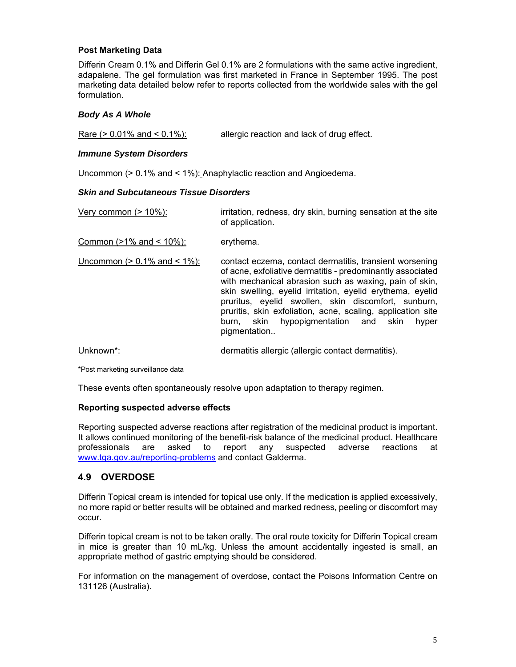### **Post Marketing Data**

Differin Cream 0.1% and Differin Gel 0.1% are 2 formulations with the same active ingredient, adapalene. The gel formulation was first marketed in France in September 1995. The post marketing data detailed below refer to reports collected from the worldwide sales with the gel formulation.

#### *Body As A Whole*

Rare (> 0.01% and < 0.1%): allergic reaction and lack of drug effect.

#### *Immune System Disorders*

Uncommon (> 0.1% and < 1%): Anaphylactic reaction and Angioedema.

#### *Skin and Subcutaneous Tissue Disorders*

| Very common $(>10\%)$ :                  | irritation, redness, dry skin, burning sensation at the site<br>of application.                                                                                                                                                                                                                                                                                                                                                        |  |
|------------------------------------------|----------------------------------------------------------------------------------------------------------------------------------------------------------------------------------------------------------------------------------------------------------------------------------------------------------------------------------------------------------------------------------------------------------------------------------------|--|
| Common ( $>1\%$ and < $10\%$ ):          | erythema.                                                                                                                                                                                                                                                                                                                                                                                                                              |  |
| <u>Uncommon (&gt; 0.1% and &lt; 1%):</u> | contact eczema, contact dermatitis, transient worsening<br>of acne, exfoliative dermatitis - predominantly associated<br>with mechanical abrasion such as waxing, pain of skin,<br>skin swelling, eyelid irritation, eyelid erythema, eyelid<br>pruritus, eyelid swollen, skin discomfort, sunburn,<br>pruritis, skin exfoliation, acne, scaling, application site<br>hypopigmentation and skin<br>burn. skin<br>hyper<br>pigmentation |  |
| Unknown <sup>*</sup> :                   | dermatitis allergic (allergic contact dermatitis).                                                                                                                                                                                                                                                                                                                                                                                     |  |

\*Post marketing surveillance data

These events often spontaneously resolve upon adaptation to therapy regimen.

#### **Reporting suspected adverse effects**

Reporting suspected adverse reactions after registration of the medicinal product is important. It allows continued monitoring of the benefit-risk balance of the medicinal product. Healthcare professionals are asked to report any suspected adverse reactions at www.tga.gov.au/reporting-problems and contact Galderma.

## **4.9 OVERDOSE**

Differin Topical cream is intended for topical use only. If the medication is applied excessively, no more rapid or better results will be obtained and marked redness, peeling or discomfort may occur.

Differin topical cream is not to be taken orally. The oral route toxicity for Differin Topical cream in mice is greater than 10 mL/kg. Unless the amount accidentally ingested is small, an appropriate method of gastric emptying should be considered.

For information on the management of overdose, contact the Poisons Information Centre on 131126 (Australia).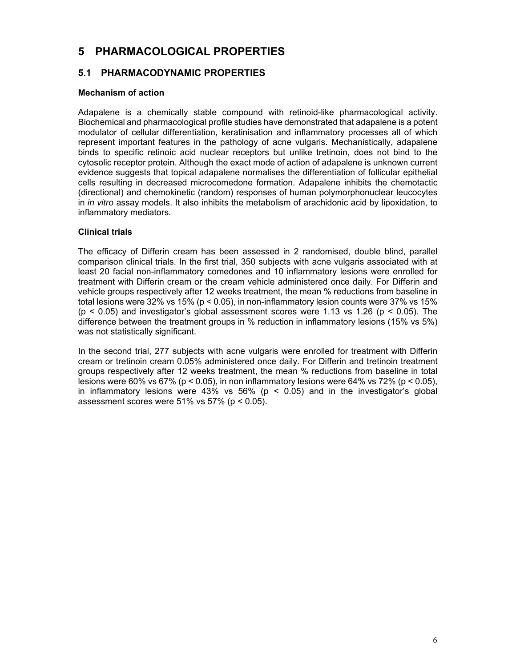# **5 PHARMACOLOGICAL PROPERTIES**

## **5.1 PHARMACODYNAMIC PROPERTIES**

### **Mechanism of action**

Adapalene is a chemically stable compound with retinoid-like pharmacological activity. Biochemical and pharmacological profile studies have demonstrated that adapalene is a potent modulator of cellular differentiation, keratinisation and inflammatory processes all of which represent important features in the pathology of acne vulgaris. Mechanistically, adapalene binds to specific retinoic acid nuclear receptors but unlike tretinoin, does not bind to the cytosolic receptor protein. Although the exact mode of action of adapalene is unknown current evidence suggests that topical adapalene normalises the differentiation of follicular epithelial cells resulting in decreased microcomedone formation. Adapalene inhibits the chemotactic (directional) and chemokinetic (random) responses of human polymorphonuclear leucocytes in *in vitro* assay models. It also inhibits the metabolism of arachidonic acid by lipoxidation, to inflammatory mediators.

### **Clinical trials**

The efficacy of Differin cream has been assessed in 2 randomised, double blind, parallel comparison clinical trials. In the first trial, 350 subjects with acne vulgaris associated with at least 20 facial non-inflammatory comedones and 10 inflammatory lesions were enrolled for treatment with Differin cream or the cream vehicle administered once daily. For Differin and vehicle groups respectively after 12 weeks treatment, the mean % reductions from baseline in total lesions were 32% vs 15% (p < 0.05), in non-inflammatory lesion counts were 37% vs 15%  $(p < 0.05)$  and investigator's global assessment scores were 1.13 vs 1.26  $(p < 0.05)$ . The difference between the treatment groups in % reduction in inflammatory lesions (15% vs 5%) was not statistically significant.

In the second trial, 277 subjects with acne vulgaris were enrolled for treatment with Differin cream or tretinoin cream 0.05% administered once daily. For Differin and tretinoin treatment groups respectively after 12 weeks treatment, the mean % reductions from baseline in total lesions were 60% vs 67% (p < 0.05), in non inflammatory lesions were 64% vs 72% (p < 0.05), in inflammatory lesions were 43% vs 56% ( $p < 0.05$ ) and in the investigator's global assessment scores were  $51\%$  vs  $57\%$  ( $p < 0.05$ ).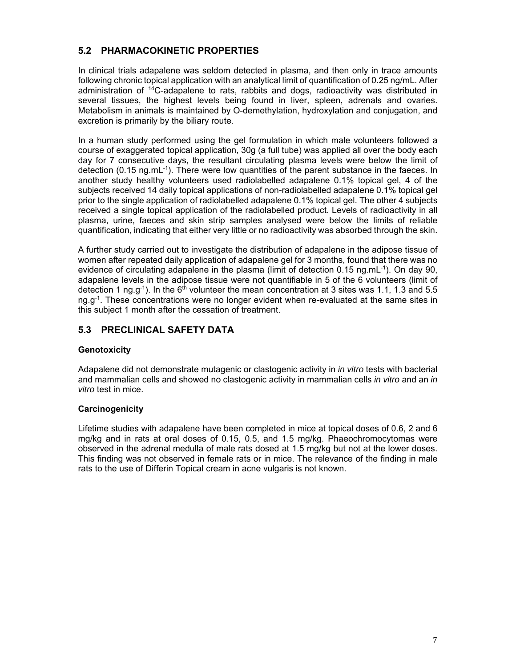# **5.2 PHARMACOKINETIC PROPERTIES**

In clinical trials adapalene was seldom detected in plasma, and then only in trace amounts following chronic topical application with an analytical limit of quantification of 0.25 ng/mL. After administration of 14C-adapalene to rats, rabbits and dogs, radioactivity was distributed in several tissues, the highest levels being found in liver, spleen, adrenals and ovaries. Metabolism in animals is maintained by O-demethylation, hydroxylation and conjugation, and excretion is primarily by the biliary route.

In a human study performed using the gel formulation in which male volunteers followed a course of exaggerated topical application, 30g (a full tube) was applied all over the body each day for 7 consecutive days, the resultant circulating plasma levels were below the limit of detection (0.15 ng.mL<sup>-1</sup>). There were low quantities of the parent substance in the faeces. In another study healthy volunteers used radiolabelled adapalene 0.1% topical gel, 4 of the subjects received 14 daily topical applications of non-radiolabelled adapalene 0.1% topical gel prior to the single application of radiolabelled adapalene 0.1% topical gel. The other 4 subjects received a single topical application of the radiolabelled product. Levels of radioactivity in all plasma, urine, faeces and skin strip samples analysed were below the limits of reliable quantification, indicating that either very little or no radioactivity was absorbed through the skin.

A further study carried out to investigate the distribution of adapalene in the adipose tissue of women after repeated daily application of adapalene gel for 3 months, found that there was no evidence of circulating adapalene in the plasma (limit of detection 0.15 ng.mL $^{-1}$ ). On day 90, adapalene levels in the adipose tissue were not quantifiable in 5 of the 6 volunteers (limit of detection 1 ng.g<sup>-1</sup>). In the 6<sup>th</sup> volunteer the mean concentration at 3 sites was 1.1, 1.3 and 5.5 ng.g<sup>-1</sup>. These concentrations were no longer evident when re-evaluated at the same sites in this subject 1 month after the cessation of treatment.

# **5.3 PRECLINICAL SAFETY DATA**

## **Genotoxicity**

Adapalene did not demonstrate mutagenic or clastogenic activity in *in vitro* tests with bacterial and mammalian cells and showed no clastogenic activity in mammalian cells *in vitro* and an *in vitro* test in mice.

## **Carcinogenicity**

Lifetime studies with adapalene have been completed in mice at topical doses of 0.6, 2 and 6 mg/kg and in rats at oral doses of 0.15, 0.5, and 1.5 mg/kg. Phaeochromocytomas were observed in the adrenal medulla of male rats dosed at 1.5 mg/kg but not at the lower doses. This finding was not observed in female rats or in mice. The relevance of the finding in male rats to the use of Differin Topical cream in acne vulgaris is not known.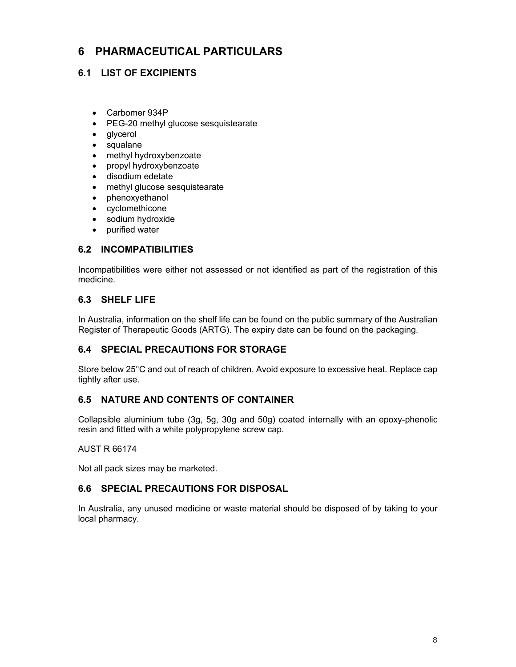# **6 PHARMACEUTICAL PARTICULARS**

# **6.1 LIST OF EXCIPIENTS**

- Carbomer 934P
- PEG-20 methyl glucose sesquistearate
- glycerol
- squalane
- methyl hydroxybenzoate
- propyl hydroxybenzoate
- disodium edetate
- methyl glucose sesquistearate
- phenoxyethanol
- cyclomethicone
- sodium hydroxide
- purified water

## **6.2 INCOMPATIBILITIES**

Incompatibilities were either not assessed or not identified as part of the registration of this medicine.

# **6.3 SHELF LIFE**

In Australia, information on the shelf life can be found on the public summary of the Australian Register of Therapeutic Goods (ARTG). The expiry date can be found on the packaging.

# **6.4 SPECIAL PRECAUTIONS FOR STORAGE**

Store below 25°C and out of reach of children. Avoid exposure to excessive heat. Replace cap tightly after use.

## **6.5 NATURE AND CONTENTS OF CONTAINER**

Collapsible aluminium tube (3g, 5g, 30g and 50g) coated internally with an epoxy-phenolic resin and fitted with a white polypropylene screw cap.

### AUST R 66174

Not all pack sizes may be marketed.

## **6.6 SPECIAL PRECAUTIONS FOR DISPOSAL**

In Australia, any unused medicine or waste material should be disposed of by taking to your local pharmacy.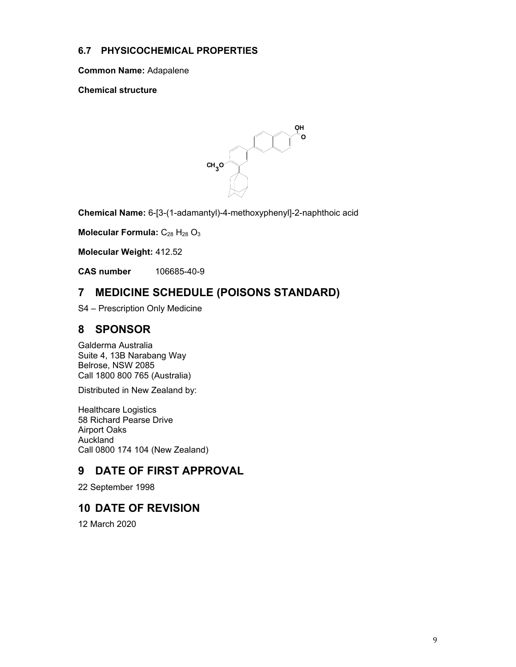# **6.7 PHYSICOCHEMICAL PROPERTIES**

**Common Name:** Adapalene

**Chemical structure** 



**Chemical Name:** 6-[3-(1-adamantyl)-4-methoxyphenyl]-2-naphthoic acid

**Molecular Formula:** C<sub>28</sub> H<sub>28</sub> O<sub>3</sub>

**Molecular Weight:** 412.52

**CAS number** 106685-40-9

# **7 MEDICINE SCHEDULE (POISONS STANDARD)**

S4 – Prescription Only Medicine

# **8 SPONSOR**

Galderma Australia Suite 4, 13B Narabang Way Belrose, NSW 2085 Call 1800 800 765 (Australia)

Distributed in New Zealand by:

Healthcare Logistics 58 Richard Pearse Drive Airport Oaks Auckland Call 0800 174 104 (New Zealand)

# **9 DATE OF FIRST APPROVAL**

22 September 1998

# **10 DATE OF REVISION**

12 March 2020